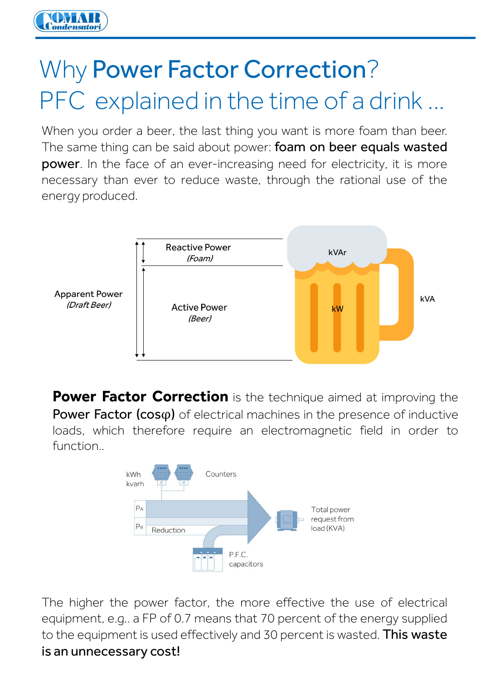

## Why Power Factor Correction? PFC explained in the time of a drink ...

When you order a beer, the last thing you want is more foam than beer. The same thing can be said about power: foam on beer equals wasted **power**. In the face of an ever-increasing need for electricity, it is more necessary than ever to reduce waste, through the rational use of the energy produced.



**Power Factor Correction** is the technique aimed at improving the Power Factor (cosφ) of electrical machines in the presence of inductive loads, which therefore require an electromagnetic field in order to function..



The higher the power factor, the more effective the use of electrical equipment, e.g.. a FP of 0.7 means that 70 percent of the energy supplied to the equipment is used effectively and 30 percent is wasted. This waste is an unnecessary cost!